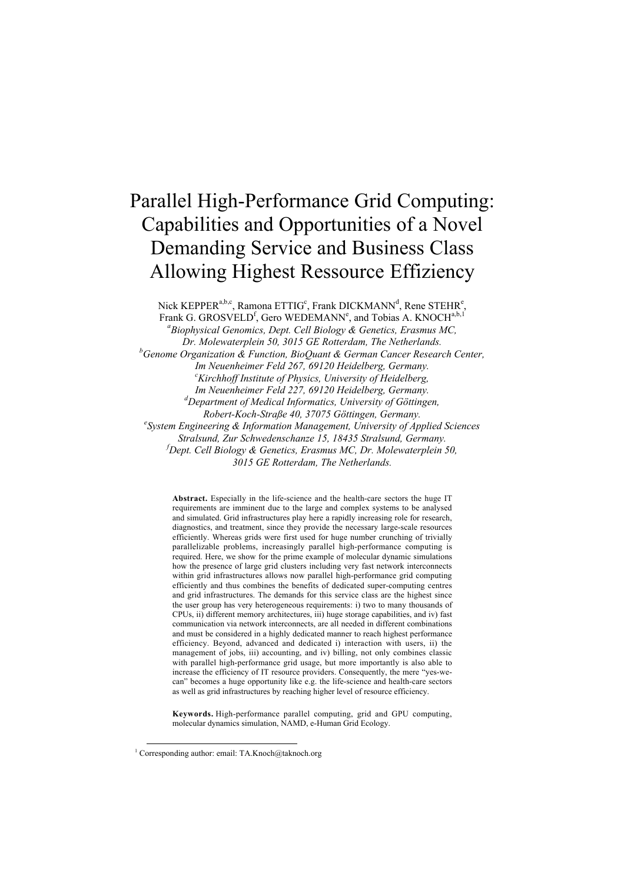# Parallel High-Performance Grid Computing: Capabilities and Opportunities of a Novel Demanding Service and Business Class Allowing Highest Ressource Effiziency

Nick KEPPER<sup>a,b,c</sup>, Ramona ETTIG<sup>c</sup>, Frank DICKMANN<sup>d</sup>, Rene STEHR<sup>e</sup>,

Frank G. GROSVELD<sup>f</sup>, Gero WEDEMANN<sup>e</sup>, and Tobias A. KNOCH<sup>a,b,1</sup>

*a Biophysical Genomics, Dept. Cell Biology & Genetics, Erasmus MC,*

*Dr. Molewaterplein 50, 3015 GE Rotterdam, The Netherlands.*

*b Genome Organization & Function, BioQuant & German Cancer Research Center, Im Neuenheimer Feld 267, 69120 Heidelberg, Germany. <sup>c</sup> Kirchhoff Institute of Physics, University of Heidelberg, Im Neuenheimer Feld 227, 69120 Heidelberg, Germany. d Department of Medical Informatics, University of Göttingen,*  $Robert-Koch-Strafse$  40, 37075 Göttingen, Germany. *System Engineering & Information Management, University of Applied Sciences Stralsund, Zur Schwedenschanze 15, 18435 Stralsund, Germany. f Dept. Cell Biology & Genetics, Erasmus MC, Dr. Molewaterplein 50,*

*3015 GE Rotterdam, The Netherlands.*

**Abstract.** Especially in the life-science and the health-care sectors the huge IT requirements are imminent due to the large and complex systems to be analysed and simulated. Grid infrastructures play here a rapidly increasing role for research, diagnostics, and treatment, since they provide the necessary large-scale resources efficiently. Whereas grids were first used for huge number crunching of trivially parallelizable problems, increasingly parallel high-performance computing is required. Here, we show for the prime example of molecular dynamic simulations how the presence of large grid clusters including very fast network interconnects within grid infrastructures allows now parallel high-performance grid computing efficiently and thus combines the benefits of dedicated super-computing centres and grid infrastructures. The demands for this service class are the highest since the user group has very heterogeneous requirements: i) two to many thousands of CPUs, ii) different memory architectures, iii) huge storage capabilities, and iv) fast communication via network interconnects, are all needed in different combinations and must be considered in a highly dedicated manner to reach highest performance efficiency. Beyond, advanced and dedicated i) interaction with users, ii) the management of jobs, iii) accounting, and iv) billing, not only combines classic with parallel high-performance grid usage, but more importantly is also able to increase the efficiency of IT resource providers. Consequently, the mere "yes-wecan" becomes a huge opportunity like e.g. the life-science and health-care sectors as well as grid infrastructures by reaching higher level of resource efficiency.

**Keywords.** High-performance parallel computing, grid and GPU computing, molecular dynamics simulation, NAMD, e-Human Grid Ecology.

<sup>1&</sup>lt;br><sup>1</sup> Corresponding author: email: TA.Knoch@taknoch.org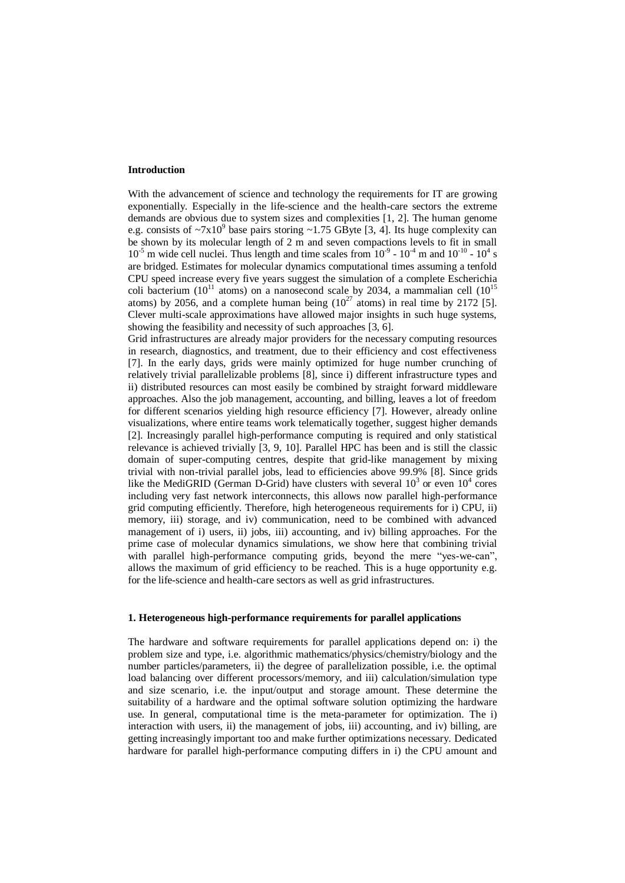## **Introduction**

With the advancement of science and technology the requirements for IT are growing exponentially. Especially in the life-science and the health-care sectors the extreme demands are obvious due to system sizes and complexities [1, 2]. The human genome e.g. consists of  $\sim 7x10^9$  base pairs storing  $\sim 1.75$  GByte [3, 4]. Its huge complexity can be shown by its molecular length of 2 m and seven compactions levels to fit in small  $10^{-5}$  m wide cell nuclei. Thus length and time scales from  $10^{-9}$  -  $10^{-4}$  m and  $10^{-10}$  -  $10^{4}$  s are bridged. Estimates for molecular dynamics computational times assuming a tenfold CPU speed increase every five years suggest the simulation of a complete Escherichia coli bacterium ( $10^{11}$  atoms) on a nanosecond scale by 2034, a mammalian cell ( $10^{15}$ atoms) by 2056, and a complete human being  $(10^{27} \text{ atoms})$  in real time by 2172 [5]. Clever multi-scale approximations have allowed major insights in such huge systems, showing the feasibility and necessity of such approaches [3, 6].

Grid infrastructures are already major providers for the necessary computing resources in research, diagnostics, and treatment, due to their efficiency and cost effectiveness [7]. In the early days, grids were mainly optimized for huge number crunching of relatively trivial parallelizable problems [8], since i) different infrastructure types and ii) distributed resources can most easily be combined by straight forward middleware approaches. Also the job management, accounting, and billing, leaves a lot of freedom for different scenarios yielding high resource efficiency [7]. However, already online visualizations, where entire teams work telematically together, suggest higher demands [2]. Increasingly parallel high-performance computing is required and only statistical relevance is achieved trivially [3, 9, 10]. Parallel HPC has been and is still the classic domain of super-computing centres, despite that grid-like management by mixing trivial with non-trivial parallel jobs, lead to efficiencies above 99.9% [8]. Since grids like the MediGRID (German D-Grid) have clusters with several  $10^3$  or even  $10^4$  cores including very fast network interconnects, this allows now parallel high-performance grid computing efficiently. Therefore, high heterogeneous requirements for i) CPU, ii) memory, iii) storage, and iv) communication, need to be combined with advanced management of i) users, ii) jobs, iii) accounting, and iv) billing approaches. For the prime case of molecular dynamics simulations, we show here that combining trivial with parallel high-performance computing grids, beyond the mere "yes-we-can", allows the maximum of grid efficiency to be reached. This is a huge opportunity e.g. for the life-science and health-care sectors as well as grid infrastructures.

#### **1. Heterogeneous high-performance requirements for parallel applications**

The hardware and software requirements for parallel applications depend on: i) the problem size and type, i.e. algorithmic mathematics/physics/chemistry/biology and the number particles/parameters, ii) the degree of parallelization possible, i.e. the optimal load balancing over different processors/memory, and iii) calculation/simulation type and size scenario, i.e. the input/output and storage amount. These determine the suitability of a hardware and the optimal software solution optimizing the hardware use. In general, computational time is the meta-parameter for optimization. The i) interaction with users, ii) the management of jobs, iii) accounting, and iv) billing, are getting increasingly important too and make further optimizations necessary. Dedicated hardware for parallel high-performance computing differs in i) the CPU amount and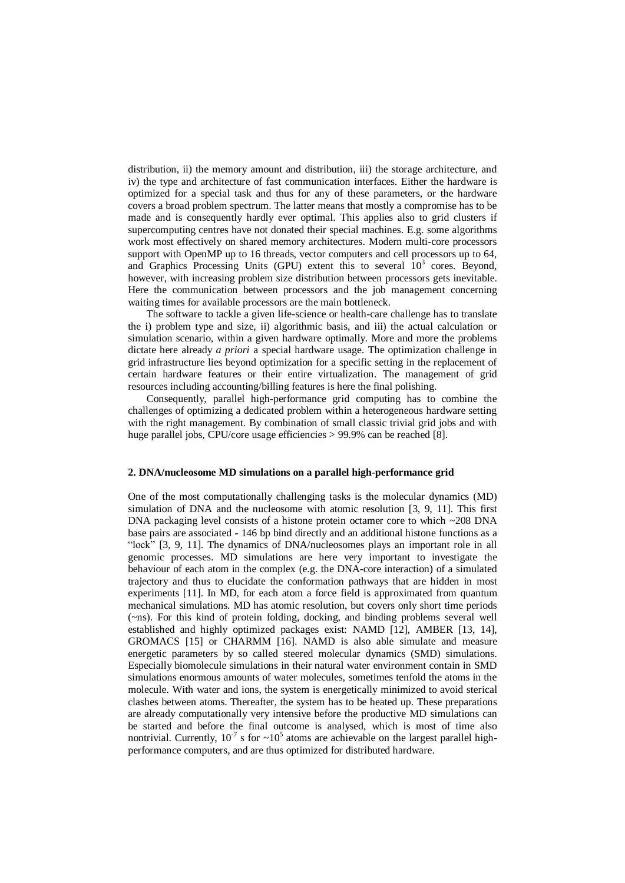distribution, ii) the memory amount and distribution, iii) the storage architecture, and iv) the type and architecture of fast communication interfaces. Either the hardware is optimized for a special task and thus for any of these parameters, or the hardware covers a broad problem spectrum. The latter means that mostly a compromise has to be made and is consequently hardly ever optimal. This applies also to grid clusters if supercomputing centres have not donated their special machines. E.g. some algorithms work most effectively on shared memory architectures. Modern multi-core processors support with OpenMP up to 16 threads, vector computers and cell processors up to 64, and Graphics Processing Units (GPU) extent this to several  $10^3$  cores. Beyond, however, with increasing problem size distribution between processors gets inevitable. Here the communication between processors and the job management concerning waiting times for available processors are the main bottleneck.

The software to tackle a given life-science or health-care challenge has to translate the i) problem type and size, ii) algorithmic basis, and iii) the actual calculation or simulation scenario, within a given hardware optimally. More and more the problems dictate here already *a priori* a special hardware usage. The optimization challenge in grid infrastructure lies beyond optimization for a specific setting in the replacement of certain hardware features or their entire virtualization. The management of grid resources including accounting/billing features is here the final polishing.

Consequently, parallel high-performance grid computing has to combine the challenges of optimizing a dedicated problem within a heterogeneous hardware setting with the right management. By combination of small classic trivial grid jobs and with huge parallel jobs, CPU/core usage efficiencies > 99.9% can be reached [8].

## **2. DNA/nucleosome MD simulations on a parallel high-performance grid**

One of the most computationally challenging tasks is the molecular dynamics (MD) simulation of DNA and the nucleosome with atomic resolution [3, 9, 11]. This first DNA packaging level consists of a histone protein octamer core to which  $\sim$ 208 DNA base pairs are associated - 146 bp bind directly and an additional histone functions as a "lock" [3, 9, 11]. The dynamics of DNA/nucleosomes plays an important role in all genomic processes. MD simulations are here very important to investigate the behaviour of each atom in the complex (e.g. the DNA-core interaction) of a simulated trajectory and thus to elucidate the conformation pathways that are hidden in most experiments [11]. In MD, for each atom a force field is approximated from quantum mechanical simulations. MD has atomic resolution, but covers only short time periods (~ns). For this kind of protein folding, docking, and binding problems several well established and highly optimized packages exist: NAMD [12], AMBER [13, 14], GROMACS [15] or CHARMM [16]. NAMD is also able simulate and measure energetic parameters by so called steered molecular dynamics (SMD) simulations. Especially biomolecule simulations in their natural water environment contain in SMD simulations enormous amounts of water molecules, sometimes tenfold the atoms in the molecule. With water and ions, the system is energetically minimized to avoid sterical clashes between atoms. Thereafter, the system has to be heated up. These preparations are already computationally very intensive before the productive MD simulations can be started and before the final outcome is analysed, which is most of time also nontrivial. Currently,  $10^{-7}$  s for  $\sim 10^{5}$  atoms are achievable on the largest parallel highperformance computers, and are thus optimized for distributed hardware.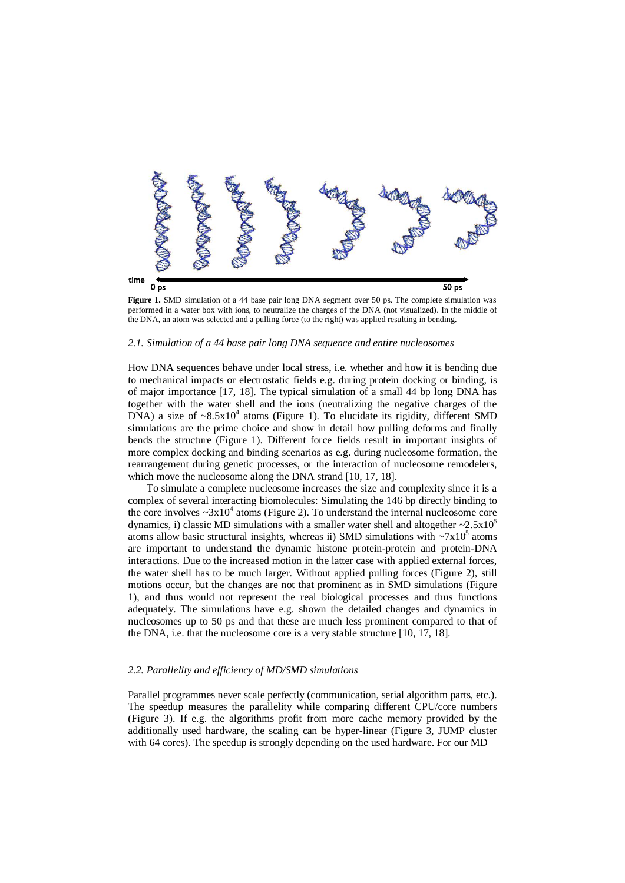

**Figure 1.** SMD simulation of a 44 base pair long DNA segment over 50 ps. The complete simulation was performed in a water box with ions, to neutralize the charges of the DNA (not visualized). In the middle of the DNA, an atom was selected and a pulling force (to the right) was applied resulting in bending.

# *2.1. Simulation of a 44 base pair long DNA sequence and entire nucleosomes*

How DNA sequences behave under local stress, i.e. whether and how it is bending due to mechanical impacts or electrostatic fields e.g. during protein docking or binding, is of major importance [17, 18]. The typical simulation of a small 44 bp long DNA has together with the water shell and the ions (neutralizing the negative charges of the DNA) a size of  $\sim 8.5 \times 10^4$  atoms (Figure 1). To elucidate its rigidity, different SMD simulations are the prime choice and show in detail how pulling deforms and finally bends the structure (Figure 1). Different force fields result in important insights of more complex docking and binding scenarios as e.g. during nucleosome formation, the rearrangement during genetic processes, or the interaction of nucleosome remodelers, which move the nucleosome along the DNA strand [10, 17, 18].

To simulate a complete nucleosome increases the size and complexity since it is a complex of several interacting biomolecules: Simulating the 146 bp directly binding to the core involves  $\sim 3x10^4$  atoms (Figure 2). To understand the internal nucleosome core dynamics, i) classic MD simulations with a smaller water shell and altogether  $\sim 2.5 \times 10^5$ atoms allow basic structural insights, whereas ii) SMD simulations with  $\sim 7x10^5$  atoms are important to understand the dynamic histone protein-protein and protein-DNA interactions. Due to the increased motion in the latter case with applied external forces, the water shell has to be much larger. Without applied pulling forces (Figure 2), still motions occur, but the changes are not that prominent as in SMD simulations (Figure 1), and thus would not represent the real biological processes and thus functions adequately. The simulations have e.g. shown the detailed changes and dynamics in nucleosomes up to 50 ps and that these are much less prominent compared to that of the DNA, i.e. that the nucleosome core is a very stable structure [10, 17, 18].

#### *2.2. Parallelity and efficiency of MD/SMD simulations*

Parallel programmes never scale perfectly (communication, serial algorithm parts, etc.). The speedup measures the parallelity while comparing different CPU/core numbers (Figure 3). If e.g. the algorithms profit from more cache memory provided by the additionally used hardware, the scaling can be hyper-linear (Figure 3, JUMP cluster with 64 cores). The speedup is strongly depending on the used hardware. For our MD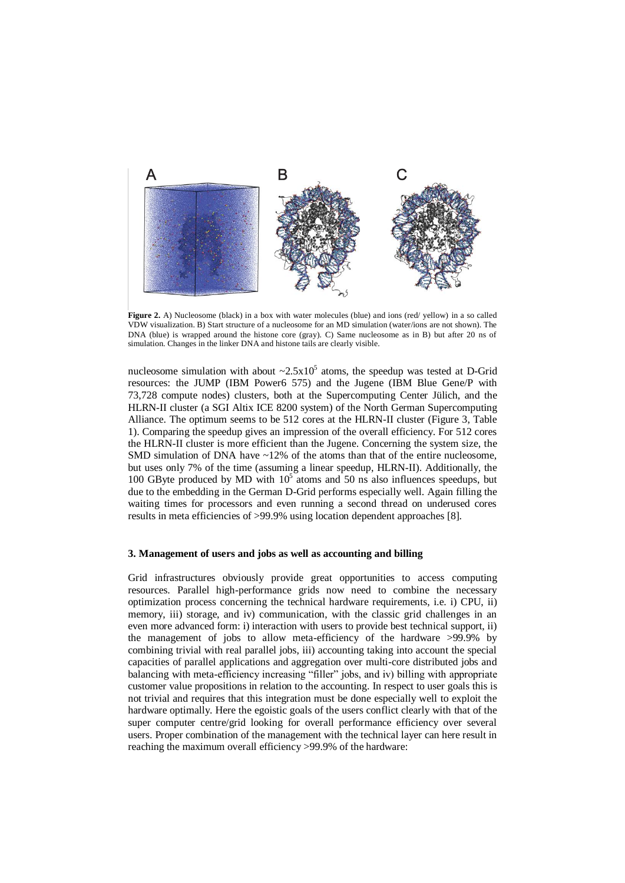

**Figure 2.** A) Nucleosome (black) in a box with water molecules (blue) and ions (red/ yellow) in a so called VDW visualization. B) Start structure of a nucleosome for an MD simulation (water/ions are not shown). The DNA (blue) is wrapped around the histone core (gray). C) Same nucleosome as in B) but after 20 ns of simulation. Changes in the linker DNA and histone tails are clearly visible.

nucleosome simulation with about  $\sim 2.5 \times 10^5$  atoms, the speedup was tested at D-Grid resources: the JUMP (IBM Power6 575) and the Jugene (IBM Blue Gene/P with 73,728 compute nodes) clusters, both at the Supercomputing Center Jülich, and the HLRN-II cluster (a SGI Altix ICE 8200 system) of the North German Supercomputing Alliance. The optimum seems to be 512 cores at the HLRN-II cluster (Figure 3, Table 1). Comparing the speedup gives an impression of the overall efficiency. For 512 cores the HLRN-II cluster is more efficient than the Jugene. Concerning the system size, the SMD simulation of DNA have  $\sim$ 12% of the atoms than that of the entire nucleosome, but uses only 7% of the time (assuming a linear speedup, HLRN-II). Additionally, the 100 GByte produced by MD with  $10^5$  atoms and 50 ns also influences speedups, but due to the embedding in the German D-Grid performs especially well. Again filling the waiting times for processors and even running a second thread on underused cores results in meta efficiencies of >99.9% using location dependent approaches [8].

#### **3. Management of users and jobs as well as accounting and billing**

Grid infrastructures obviously provide great opportunities to access computing resources. Parallel high-performance grids now need to combine the necessary optimization process concerning the technical hardware requirements, i.e. i) CPU, ii) memory, iii) storage, and iv) communication, with the classic grid challenges in an even more advanced form: i) interaction with users to provide best technical support, ii) the management of jobs to allow meta-efficiency of the hardware >99.9% by combining trivial with real parallel jobs, iii) accounting taking into account the special capacities of parallel applications and aggregation over multi-core distributed jobs and balancing with meta-efficiency increasing "filler" jobs, and iv) billing with appropriate customer value propositions in relation to the accounting. In respect to user goals this is not trivial and requires that this integration must be done especially well to exploit the hardware optimally. Here the egoistic goals of the users conflict clearly with that of the super computer centre/grid looking for overall performance efficiency over several users. Proper combination of the management with the technical layer can here result in reaching the maximum overall efficiency >99.9% of the hardware: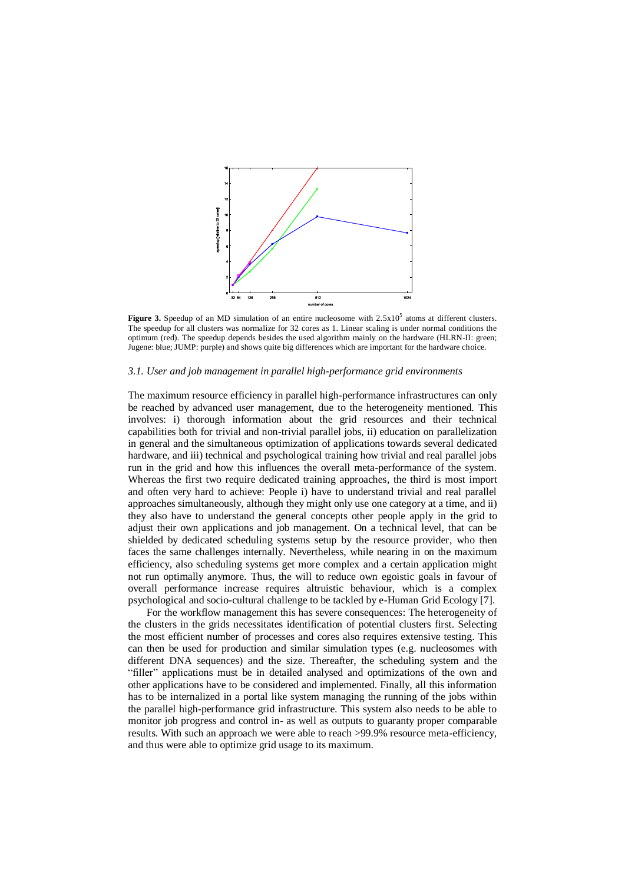

**Figure 3.** Speedup of an MD simulation of an entire nucleosome with  $2.5 \times 10^5$  atoms at different clusters. The speedup for all clusters was normalize for 32 cores as 1. Linear scaling is under normal conditions the optimum (red). The speedup depends besides the used algorithm mainly on the hardware (HLRN-II: green; Jugene: blue; JUMP: purple) and shows quite big differences which are important for the hardware choice.

# *3.1. User and job management in parallel high-performance grid environments*

The maximum resource efficiency in parallel high-performance infrastructures can only be reached by advanced user management, due to the heterogeneity mentioned. This involves: i) thorough information about the grid resources and their technical capabilities both for trivial and non-trivial parallel jobs, ii) education on parallelization in general and the simultaneous optimization of applications towards several dedicated hardware, and iii) technical and psychological training how trivial and real parallel jobs run in the grid and how this influences the overall meta-performance of the system. Whereas the first two require dedicated training approaches, the third is most import and often very hard to achieve: People i) have to understand trivial and real parallel approaches simultaneously, although they might only use one category at a time, and ii) they also have to understand the general concepts other people apply in the grid to adjust their own applications and job management. On a technical level, that can be shielded by dedicated scheduling systems setup by the resource provider, who then faces the same challenges internally. Nevertheless, while nearing in on the maximum efficiency, also scheduling systems get more complex and a certain application might not run optimally anymore. Thus, the will to reduce own egoistic goals in favour of overall performance increase requires altruistic behaviour, which is a complex psychological and socio-cultural challenge to be tackled by e-Human Grid Ecology [7].

For the workflow management this has severe consequences: The heterogeneity of the clusters in the grids necessitates identification of potential clusters first. Selecting the most efficient number of processes and cores also requires extensive testing. This can then be used for production and similar simulation types (e.g. nucleosomes with different DNA sequences) and the size. Thereafter, the scheduling system and the "filler" applications must be in detailed analysed and optimizations of the own and other applications have to be considered and implemented. Finally, all this information has to be internalized in a portal like system managing the running of the jobs within the parallel high-performance grid infrastructure. This system also needs to be able to monitor job progress and control in- as well as outputs to guaranty proper comparable results. With such an approach we were able to reach >99.9% resource meta-efficiency, and thus were able to optimize grid usage to its maximum.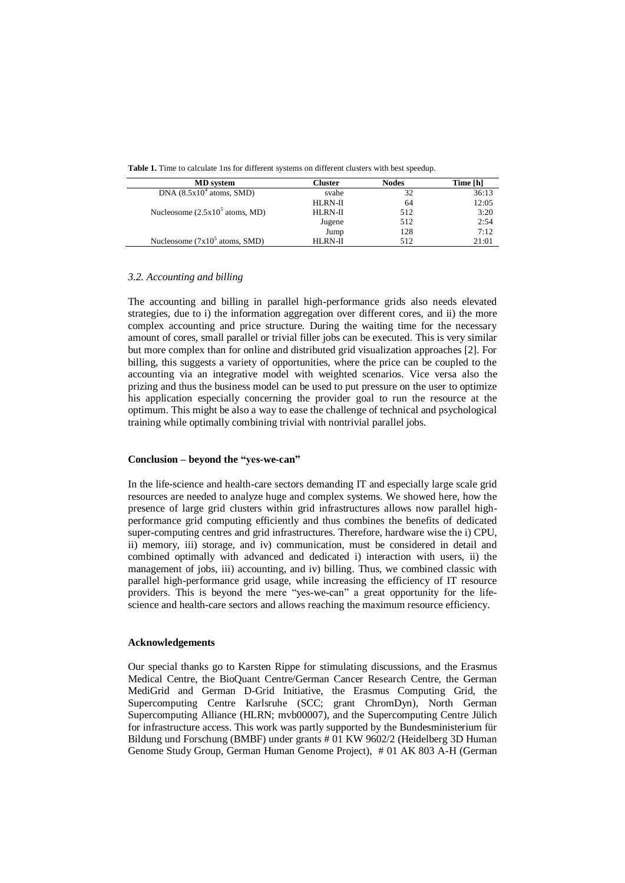| <b>MD</b> system                                | Cluster | <b>Nodes</b> | Time [h] |
|-------------------------------------------------|---------|--------------|----------|
| DNA $(8.5x104$ atoms, SMD)                      | svahe   | 32           | 36:13    |
|                                                 | HLRN-II | 64           | 12:05    |
| Nucleosome $(2.5x10^5$ atoms, MD)               | HLRN-II | 512          | 3:20     |
|                                                 | Jugene  | 512          | 2:54     |
|                                                 | Jump    | 128          | 7:12     |
| Nucleosome $(7x10^5 \text{ atoms}, \text{SMD})$ | HLRN-II | 512          | 21:01    |

**Table 1.** Time to calculate 1ns for different systems on different clusters with best speedup.

# *3.2. Accounting and billing*

The accounting and billing in parallel high-performance grids also needs elevated strategies, due to i) the information aggregation over different cores, and ii) the more complex accounting and price structure. During the waiting time for the necessary amount of cores, small parallel or trivial filler jobs can be executed. This is very similar but more complex than for online and distributed grid visualization approaches [2]. For billing, this suggests a variety of opportunities, where the price can be coupled to the accounting via an integrative model with weighted scenarios. Vice versa also the prizing and thus the business model can be used to put pressure on the user to optimize his application especially concerning the provider goal to run the resource at the optimum. This might be also a way to ease the challenge of technical and psychological training while optimally combining trivial with nontrivial parallel jobs.

# **Conclusion – beyond the "yes-we-can"**

In the life-science and health-care sectors demanding IT and especially large scale grid resources are needed to analyze huge and complex systems. We showed here, how the presence of large grid clusters within grid infrastructures allows now parallel highperformance grid computing efficiently and thus combines the benefits of dedicated super-computing centres and grid infrastructures. Therefore, hardware wise the i) CPU, ii) memory, iii) storage, and iv) communication, must be considered in detail and combined optimally with advanced and dedicated i) interaction with users, ii) the management of jobs, iii) accounting, and iv) billing. Thus, we combined classic with parallel high-performance grid usage, while increasing the efficiency of IT resource providers. This is beyond the mere "yes-we-can" a great opportunity for the lifescience and health-care sectors and allows reaching the maximum resource efficiency.

# **Acknowledgements**

Our special thanks go to Karsten Rippe for stimulating discussions, and the Erasmus Medical Centre, the BioQuant Centre/German Cancer Research Centre, the German MediGrid and German D-Grid Initiative, the Erasmus Computing Grid, the Supercomputing Centre Karlsruhe (SCC; grant ChromDyn), North German Supercomputing Alliance (HLRN; mvb00007), and the Supercomputing Centre Jülich for infrastructure access. This work was partly supported by the Bundesministerium für Bildung und Forschung (BMBF) under grants # 01 KW 9602/2 (Heidelberg 3D Human Genome Study Group, German Human Genome Project), # 01 AK 803 A-H (German